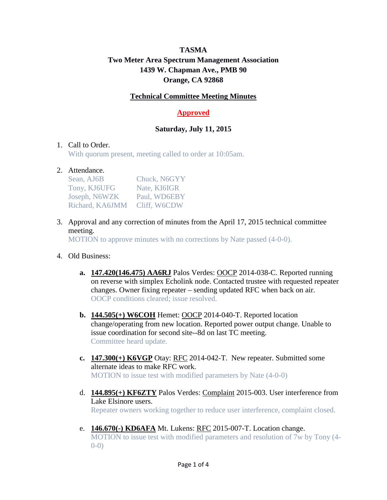# **TASMA Two Meter Area Spectrum Management Association 1439 W. Chapman Ave., PMB 90 Orange, CA 92868**

#### **Technical Committee Meeting Minutes**

## **Approved**

## **Saturday, July 11, 2015**

#### 1. Call to Order.

With quorum present, meeting called to order at 10:05am.

#### 2. Attendance.

| Sean, AJ6B      | Chuck, N6GYY |
|-----------------|--------------|
| Tony, KJ6UFG    | Nate, KI6IGR |
| Joseph, N6WZK   | Paul, WD6EBY |
| Richard, KA6JMM | Cliff, W6CDW |

3. Approval and any correction of minutes from the April 17, 2015 technical committee meeting.

MOTION to approve minutes with no corrections by Nate passed (4-0-0).

- 4. Old Business:
	- **a. 147.420(146.475) AA6RJ** Palos Verdes: OOCP 2014-038-C. Reported running on reverse with simplex Echolink node. Contacted trustee with requested repeater changes. Owner fixing repeater – sending updated RFC when back on air. OOCP conditions cleared; issue resolved.
	- **b. 144.505(+) W6COH** Hemet: OOCP 2014-040-T. Reported location change/operating from new location. Reported power output change. Unable to issue coordination for second site--8d on last TC meeting. Committee heard update.
	- **c. 147.300(+) K6VGP** Otay: RFC 2014-042-T. New repeater. Submitted some alternate ideas to make RFC work. MOTION to issue test with modified parameters by Nate (4-0-0)
	- d. **144.895(+) KF6ZTY** Palos Verdes: Complaint 2015-003. User interference from Lake Elsinore users. Repeater owners working together to reduce user interference, complaint closed.
	- e. **146.670(-) KD6AFA** Mt. Lukens: RFC 2015-007-T. Location change. MOTION to issue test with modified parameters and resolution of 7w by Tony (4-  $(0-0)$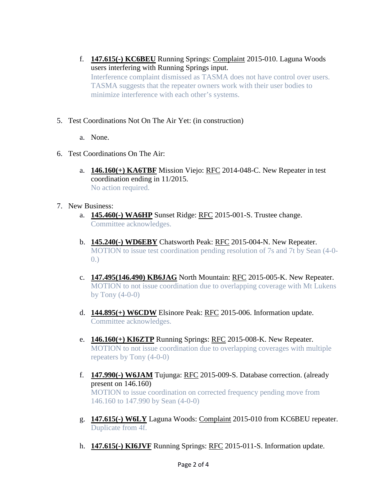- f. **147.615(-) KC6BEU** Running Springs: Complaint 2015-010. Laguna Woods users interfering with Running Springs input. Interference complaint dismissed as TASMA does not have control over users. TASMA suggests that the repeater owners work with their user bodies to minimize interference with each other's systems.
- 5. Test Coordinations Not On The Air Yet: (in construction)
	- a. None.
- 6. Test Coordinations On The Air:
	- a. **146.160(+) KA6TBF** Mission Viejo: RFC 2014-048-C. New Repeater in test coordination ending in 11/2015. No action required.
- 7. New Business:
	- a. **145.460(-) WA6HP** Sunset Ridge: RFC 2015-001-S. Trustee change. Committee acknowledges.
	- b. **145.240(-) WD6EBY** Chatsworth Peak: RFC 2015-004-N. New Repeater. MOTION to issue test coordination pending resolution of 7s and 7t by Sean (4-0- 0.)
	- c. **147.495(146.490) KB6JAG** North Mountain: RFC 2015-005-K. New Repeater. MOTION to not issue coordination due to overlapping coverage with Mt Lukens by Tony  $(4-0-0)$
	- d. **144.895(+) W6CDW** Elsinore Peak: RFC 2015-006. Information update. Committee acknowledges.
	- e. **146.160(+) KI6ZTP** Running Springs: RFC 2015-008-K. New Repeater. MOTION to not issue coordination due to overlapping coverages with multiple repeaters by Tony (4-0-0)
	- f. **147.990(-) W6JAM** Tujunga: RFC 2015-009-S. Database correction. (already present on 146.160) MOTION to issue coordination on corrected frequency pending move from 146.160 to 147.990 by Sean (4-0-0)
	- g. **147.615(-) W6LY** Laguna Woods: Complaint 2015-010 from KC6BEU repeater. Duplicate from 4f.
	- h. **147.615(-) KI6JVF** Running Springs: RFC 2015-011-S. Information update.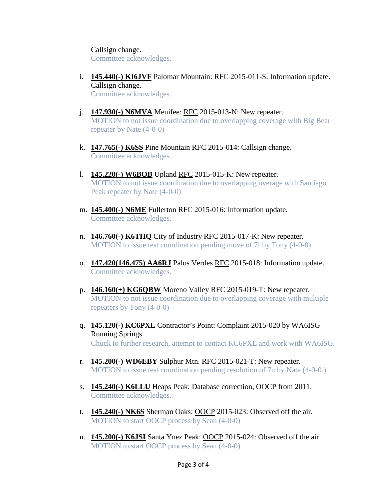Callsign change.

Committee acknowledges.

- i. **145.440(-) KI6JVF** Palomar Mountain: RFC 2015-011-S. Information update. Callsign change. Committee acknowledges.
- j. **147.930(-) N6MVA** Menifee: RFC 2015-013-N: New repeater. MOTION to not issue coordination due to overlapping coverage with Big Bear repeater by Nate (4-0-0)
- k. **147.765(-) K6SS** Pine Mountain RFC 2015-014: Callsign change. Committee acknowledges.
- l. **145.220(-) W6BOB** Upland RFC 2015-015-K: New repeater. MOTION to not issue coordination due to overlapping overage with Santiago Peak repeater by Nate (4-0-0)
- m. **145.400(-) N6ME** Fullerton RFC 2015-016: Information update. Committee acknowledges.
- n. **146.760(-) K6THQ** City of Industry RFC 2015-017-K: New repeater. MOTION to issue test coordination pending move of 7f by Tony (4-0-0)
- o. **147.420(146.475) AA6RJ** Palos Verdes RFC 2015-018: Information update. Committee acknowledges.
- p. **146.160(+) KG6QBW** Moreno Valley RFC 2015-019-T: New repeater. MOTION to not issue coordination due to overlapping coverage with multiple repeaters by Tony (4-0-0)
- q. **145.120(-) KC6PXL** Contractor's Point: Complaint 2015-020 by WA6ISG Running Springs. Chuck to further research, attempt to contact KC6PXL and work with WA6ISG.
- r. **145.200(-) WD6EBY** Sulphur Mtn. RFC 2015-021-T: New repeater. MOTION to issue test coordination pending resolution of 7u by Nate (4-0-0.)
- s. **145.240(-) K6LLU** Heaps Peak: Database correction, OOCP from 2011. Committee acknowledges.
- t. **145.240(-) NK6S** Sherman Oaks: OOCP 2015-023: Observed off the air. MOTION to start OOCP process by Sean (4-0-0)
- u. **145.200(-) K6JSI** Santa Ynez Peak: OOCP 2015-024: Observed off the air. MOTION to start OOCP process by Sean (4-0-0)